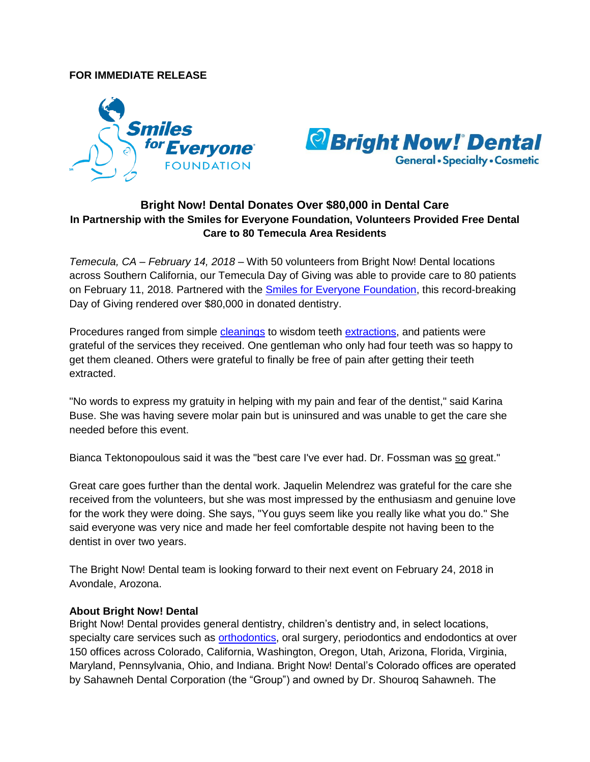## **FOR IMMEDIATE RELEASE**





## **Bright Now! Dental Donates Over \$80,000 in Dental Care In Partnership with the Smiles for Everyone Foundation, Volunteers Provided Free Dental Care to 80 Temecula Area Residents**

*Temecula, CA – February 14, 2018* – With 50 volunteers from Bright Now! Dental locations across Southern California, our Temecula Day of Giving was able to provide care to 80 patients on February 11, 2018. Partnered with the [Smiles for Everyone Foundation,](http://www.smilesforeveryone.org/) this record-breaking Day of Giving rendered over \$80,000 in donated dentistry.

Procedures ranged from simple [cleanings](https://www.brightnow.com/dentist/teeth-cleaning) to wisdom teeth [extractions,](https://www.brightnow.com/oral-surgeon/oral-surgery) and patients were grateful of the services they received. One gentleman who only had four teeth was so happy to get them cleaned. Others were grateful to finally be free of pain after getting their teeth extracted.

"No words to express my gratuity in helping with my pain and fear of the dentist," said Karina Buse. She was having severe molar pain but is uninsured and was unable to get the care she needed before this event.

Bianca Tektonopoulous said it was the "best care I've ever had. Dr. Fossman was so great."

Great care goes further than the dental work. Jaquelin Melendrez was grateful for the care she received from the volunteers, but she was most impressed by the enthusiasm and genuine love for the work they were doing. She says, "You guys seem like you really like what you do." She said everyone was very nice and made her feel comfortable despite not having been to the dentist in over two years.

The Bright Now! Dental team is looking forward to their next event on February 24, 2018 in Avondale, Arozona.

## **About Bright Now! Dental**

Bright Now! Dental provides general dentistry, children's dentistry and, in select locations, specialty care services such as [orthodontics,](https://www.brightnow.com/orthodontist/braces) oral surgery, periodontics and endodontics at over 150 offices across Colorado, California, Washington, Oregon, Utah, Arizona, Florida, Virginia, Maryland, Pennsylvania, Ohio, and Indiana. Bright Now! Dental's Colorado offices are operated by Sahawneh Dental Corporation (the "Group") and owned by Dr. Shouroq Sahawneh. The